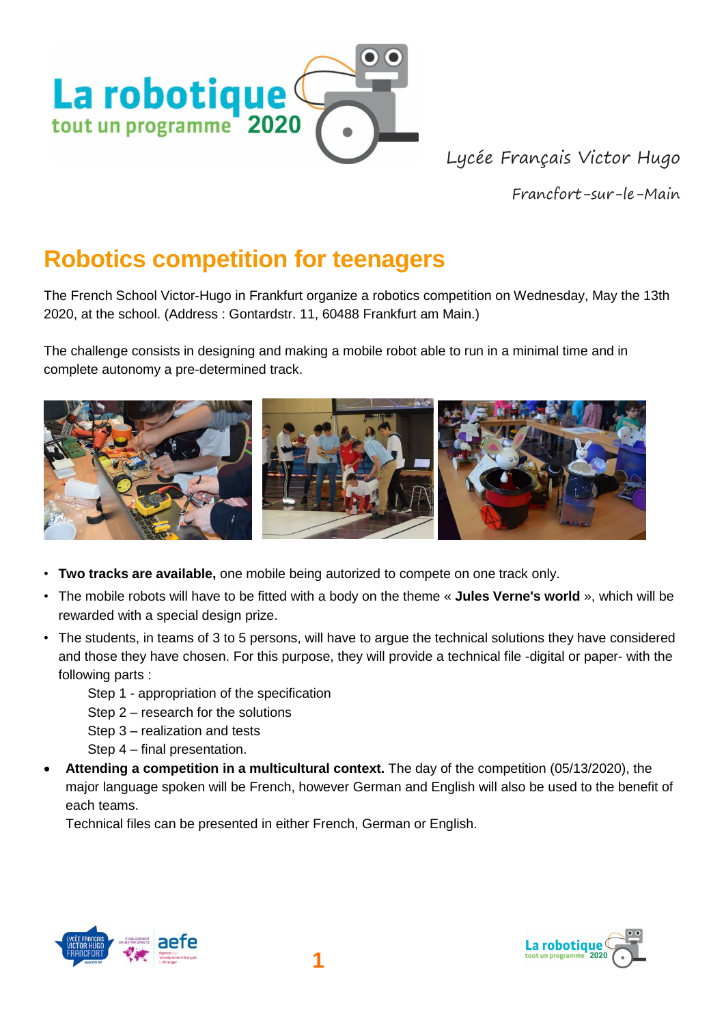

Lycée Français Victor Hugo

Francfort-sur-le-Main

## **Robotics competition for teenagers**

The French School Victor-Hugo in Frankfurt organize a robotics competition on Wednesday, May the 13th 2020, at the school. (Address : Gontardstr. 11, 60488 Frankfurt am Main.)

The challenge consists in designing and making a mobile robot able to run in a minimal time and in complete autonomy a pre-determined track.



- **Two tracks are available,** one mobile being autorized to compete on one track only.
- The mobile robots will have to be fitted with a body on the theme « **Jules Verne's world** », which will be rewarded with a special design prize.
- The students, in teams of 3 to 5 persons, will have to argue the technical solutions they have considered and those they have chosen. For this purpose, they will provide a technical file -digital or paper- with the following parts :
	- Step 1 appropriation of the specification
	- Step 2 research for the solutions
	- Step 3 realization and tests
	- Step 4 final presentation.
- **Attending a competition in a multicultural context.** The day of the competition (05/13/2020), the major language spoken will be French, however German and English will also be used to the benefit of each teams.

Technical files can be presented in either French, German or English.



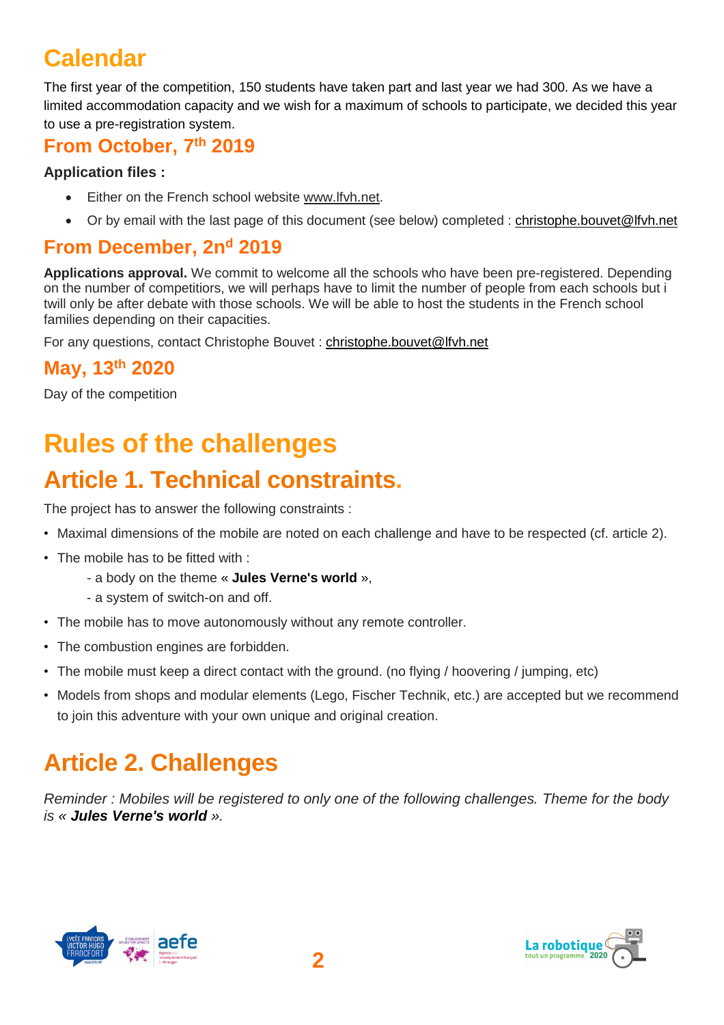# **Calendar**

The first year of the competition, 150 students have taken part and last year we had 300. As we have a limited accommodation capacity and we wish for a maximum of schools to participate, we decided this year to use a pre-registration system.

### **From October, 7 th 2019**

#### **Application files :**

- Either on the French school website [www.lfvh.net.](http://www.lfvh.net/)
- Or by email with the last page of this document (see below) completed : [christophe.bouvet@lfvh.net](mailto:christophe.bouvet@lfvh.net)

### **From December, 2n<sup>d</sup> 2019**

**Applications approval.** We commit to welcome all the schools who have been pre-registered. Depending on the number of competitiors, we will perhaps have to limit the number of people from each schools but i twill only be after debate with those schools. We will be able to host the students in the French school families depending on their capacities.

For any questions, contact Christophe Bouvet : [christophe.bouvet@lfvh.net](mailto:christophe.bouvet@lfvh.net)

### **May, 13th 2020**

Day of the competition

# **Rules of the challenges**

# **Article 1. Technical constraints.**

The project has to answer the following constraints :

- Maximal dimensions of the mobile are noted on each challenge and have to be respected (cf. article 2).
- The mobile has to be fitted with :
	- a body on the theme « **Jules Verne's world** »,
	- a system of switch-on and off.
- The mobile has to move autonomously without any remote controller.
- The combustion engines are forbidden.
- The mobile must keep a direct contact with the ground. (no flying / hoovering / jumping, etc)
- Models from shops and modular elements (Lego, Fischer Technik, etc.) are accepted but we recommend to join this adventure with your own unique and original creation.

# **Article 2. Challenges**

*Reminder : Mobiles will be registered to only one of the following challenges. Theme for the body is « Jules Verne's world ».*



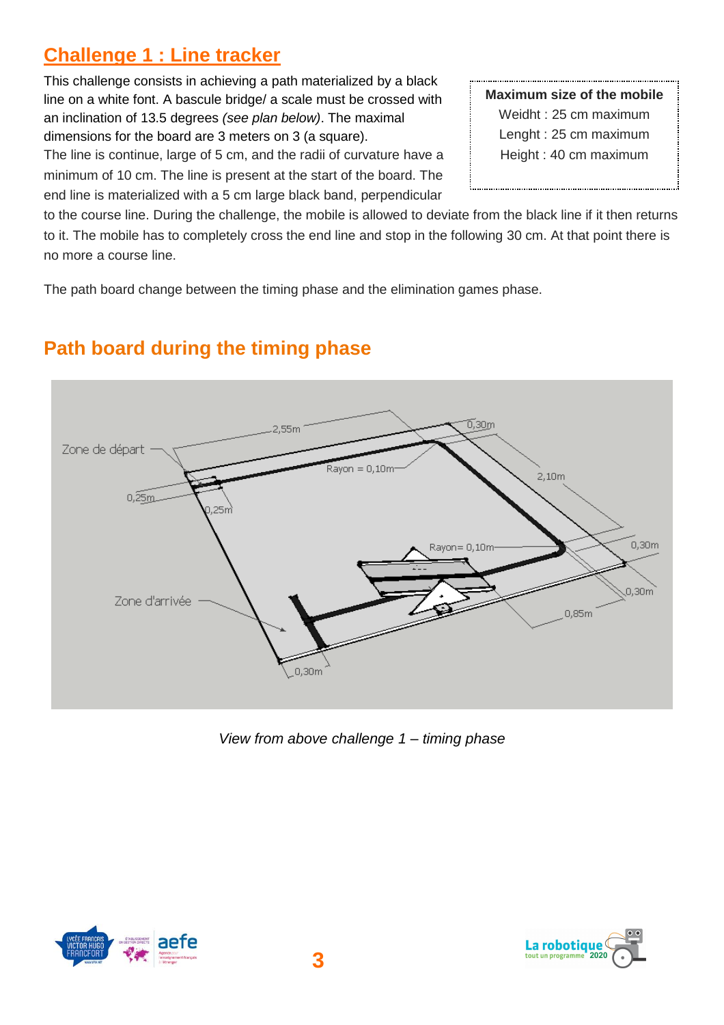### **Challenge 1 : Line tracker**

This challenge consists in achieving a path materialized by a black line on a white font. A bascule bridge/ a scale must be crossed with an inclination of 13.5 degrees *(see plan below)*. The maximal dimensions for the board are 3 meters on 3 (a square).

The line is continue, large of 5 cm, and the radii of curvature have a minimum of 10 cm. The line is present at the start of the board. The end line is materialized with a 5 cm large black band, perpendicular

**Maximum size of the mobile** Weidht : 25 cm maximum Lenght : 25 cm maximum Height : 40 cm maximum

to the course line. During the challenge, the mobile is allowed to deviate from the black line if it then returns to it. The mobile has to completely cross the end line and stop in the following 30 cm. At that point there is no more a course line.

The path board change between the timing phase and the elimination games phase.



### **Path board during the timing phase**

*View from above challenge 1 – timing phase*



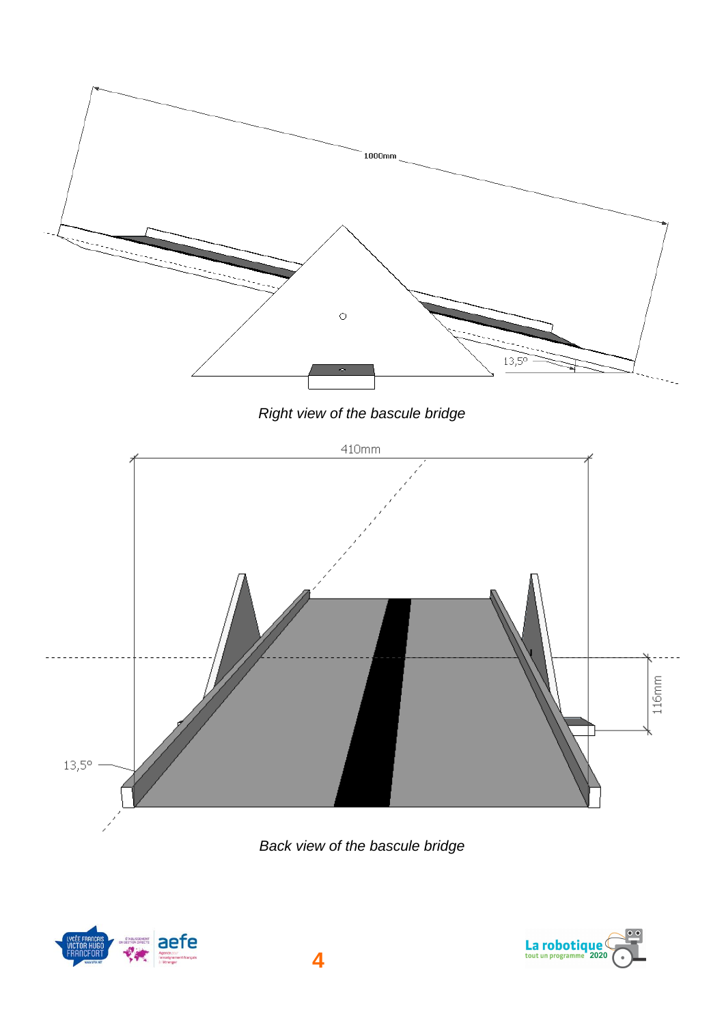

*Back view of the bascule bridge*



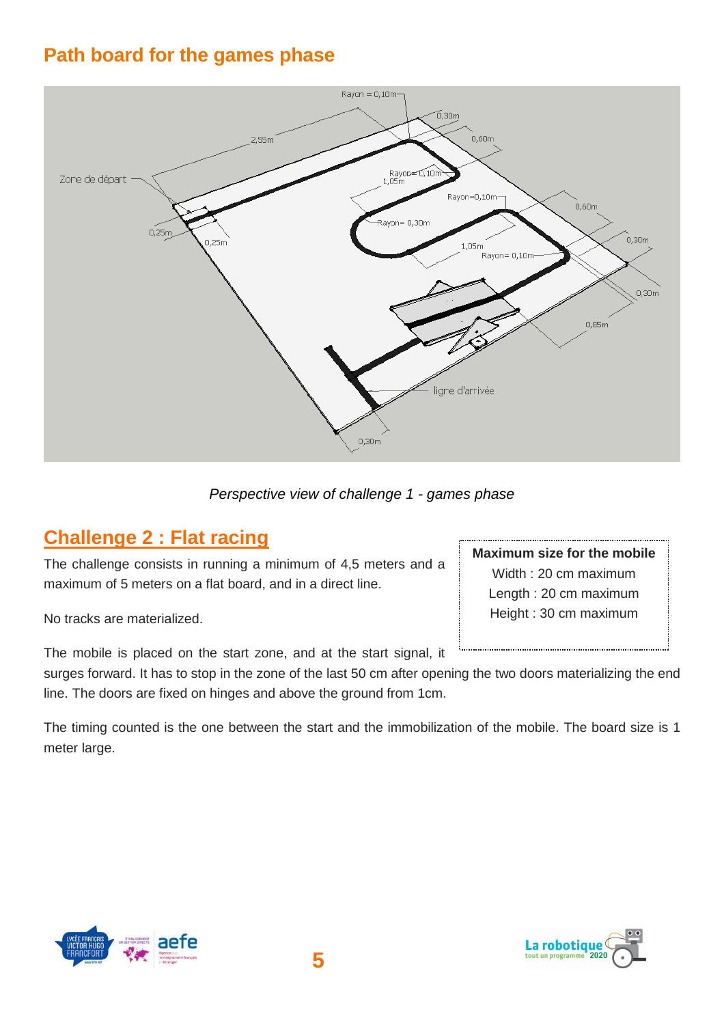### **Path board for the games phase**



*Perspective view of challenge 1 - games phase*

### **Challenge 2 : Flat racing**

The challenge consists in running a minimum of 4,5 meters and a maximum of 5 meters on a flat board, and in a direct line.

No tracks are materialized.

The mobile is placed on the start zone, and at the start signal, it

surges forward. It has to stop in the zone of the last 50 cm after opening the two doors materializing the end line. The doors are fixed on hinges and above the ground from 1cm.

The timing counted is the one between the start and the immobilization of the mobile. The board size is 1 meter large.



**Maximum size for the mobile** Width : 20 cm maximum Length : 20 cm maximum Height : 30 cm maximum

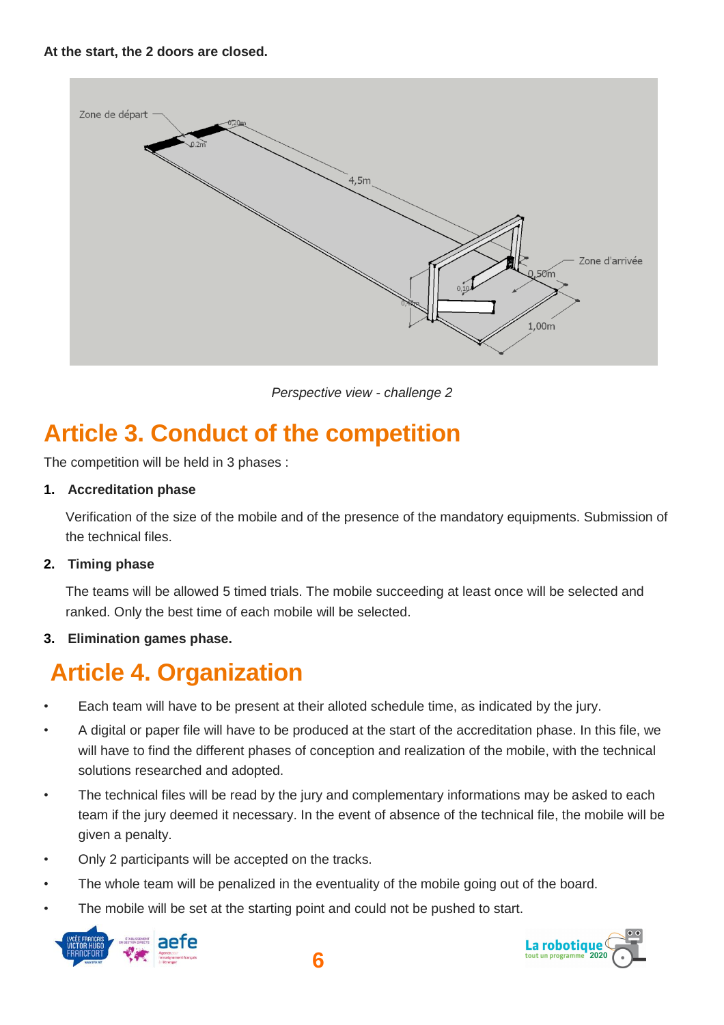

*Perspective view - challenge 2*

# **Article 3. Conduct of the competition**

The competition will be held in 3 phases :

#### **1. Accreditation phase**

Verification of the size of the mobile and of the presence of the mandatory equipments. Submission of the technical files.

#### **2. Timing phase**

The teams will be allowed 5 timed trials. The mobile succeeding at least once will be selected and ranked. Only the best time of each mobile will be selected.

#### **3. Elimination games phase.**

## **Article 4. Organization**

- Each team will have to be present at their alloted schedule time, as indicated by the jury.
- A digital or paper file will have to be produced at the start of the accreditation phase. In this file, we will have to find the different phases of conception and realization of the mobile, with the technical solutions researched and adopted.
- The technical files will be read by the jury and complementary informations may be asked to each team if the jury deemed it necessary. In the event of absence of the technical file, the mobile will be given a penalty.
- Only 2 participants will be accepted on the tracks.
- The whole team will be penalized in the eventuality of the mobile going out of the board.
- The mobile will be set at the starting point and could not be pushed to start.





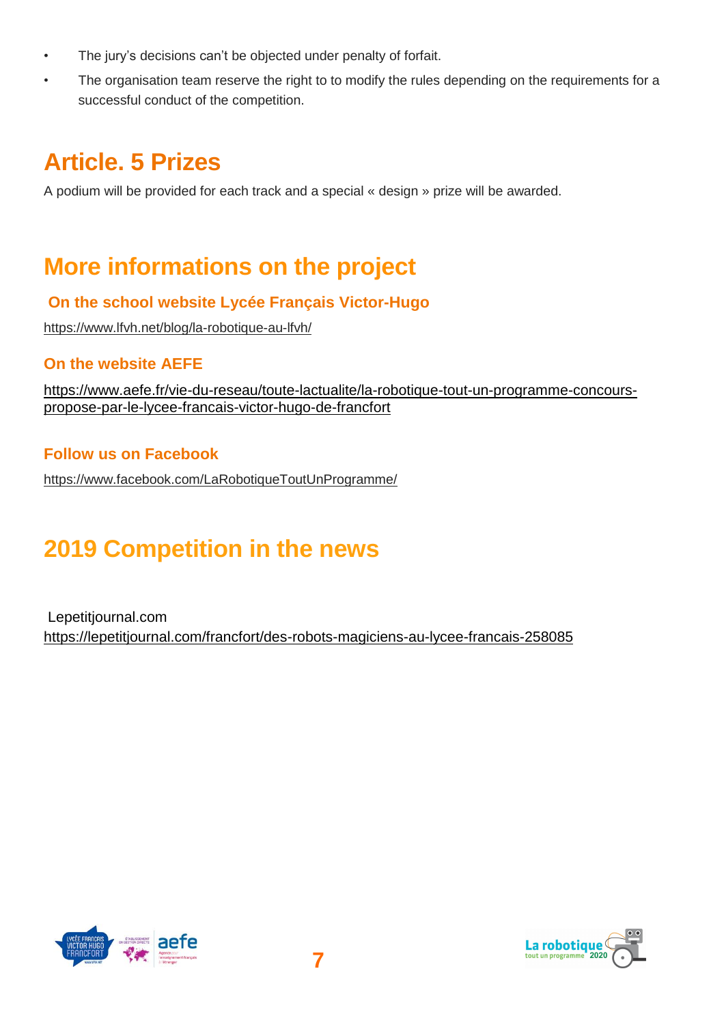- The jury's decisions can't be objected under penalty of forfait.
- The organisation team reserve the right to to modify the rules depending on the requirements for a successful conduct of the competition.

# **Article. 5 Prizes**

A podium will be provided for each track and a special « design » prize will be awarded.

## **More informations on the project**

#### **On the school website Lycée Français Victor-Hugo**

<https://www.lfvh.net/blog/la-robotique-au-lfvh/>

#### **On the website AEFE**

[https://www.aefe.fr/vie-du-reseau/toute-lactualite/la-robotique-tout-un-programme-concours](https://www.aefe.fr/vie-du-reseau/toute-lactualite/la-robotique-tout-un-programme-concours-propose-par-le-lycee-francais-victor-hugo-de-francfort)[propose-par-le-lycee-francais-victor-hugo-de-francfort](https://www.aefe.fr/vie-du-reseau/toute-lactualite/la-robotique-tout-un-programme-concours-propose-par-le-lycee-francais-victor-hugo-de-francfort)

#### **Follow us on Facebook**

<https://www.facebook.com/LaRobotiqueToutUnProgramme/>

## **2019 Competition in the news**

Lepetitjournal.com <https://lepetitjournal.com/francfort/des-robots-magiciens-au-lycee-francais-258085>



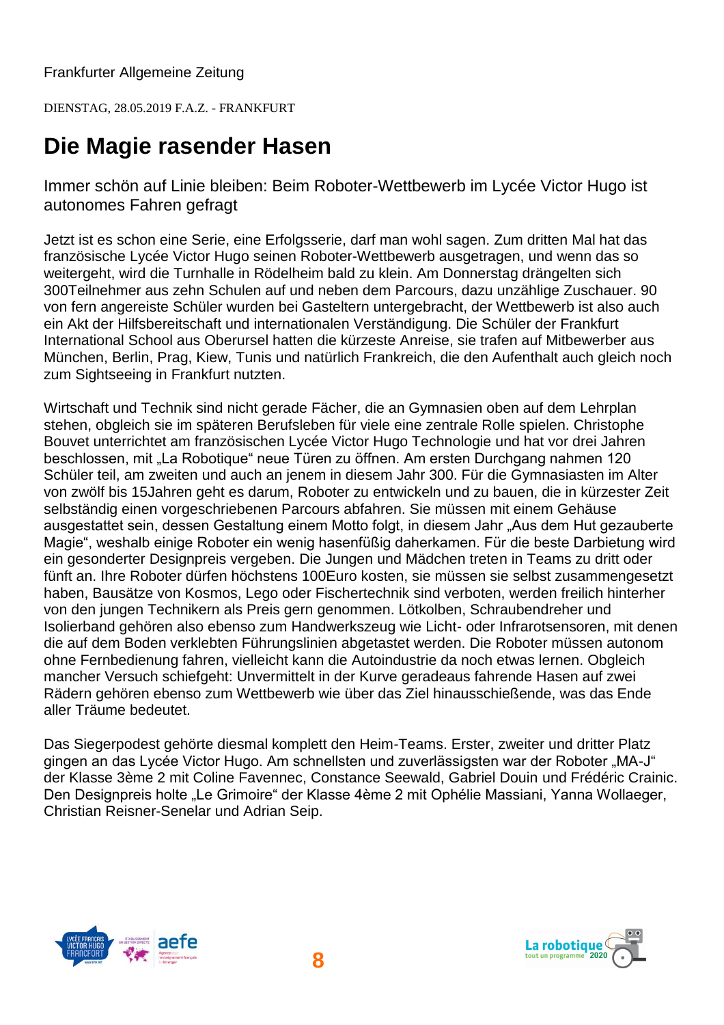Frankfurter Allgemeine Zeitung

DIENSTAG, 28.05.2019 F.A.Z. - FRANKFURT

### **Die Magie rasender Hasen**

Immer schön auf Linie bleiben: Beim Roboter-Wettbewerb im Lycée Victor Hugo ist autonomes Fahren gefragt

Jetzt ist es schon eine Serie, eine Erfolgsserie, darf man wohl sagen. Zum dritten Mal hat das französische Lycée Victor Hugo seinen Roboter-Wettbewerb ausgetragen, und wenn das so weitergeht, wird die Turnhalle in Rödelheim bald zu klein. Am Donnerstag drängelten sich 300Teilnehmer aus zehn Schulen auf und neben dem Parcours, dazu unzählige Zuschauer. 90 von fern angereiste Schüler wurden bei Gasteltern untergebracht, der Wettbewerb ist also auch ein Akt der Hilfsbereitschaft und internationalen Verständigung. Die Schüler der Frankfurt International School aus Oberursel hatten die kürzeste Anreise, sie trafen auf Mitbewerber aus München, Berlin, Prag, Kiew, Tunis und natürlich Frankreich, die den Aufenthalt auch gleich noch zum Sightseeing in Frankfurt nutzten.

Wirtschaft und Technik sind nicht gerade Fächer, die an Gymnasien oben auf dem Lehrplan stehen, obgleich sie im späteren Berufsleben für viele eine zentrale Rolle spielen. Christophe Bouvet unterrichtet am französischen Lycée Victor Hugo Technologie und hat vor drei Jahren beschlossen, mit "La Robotique" neue Türen zu öffnen. Am ersten Durchgang nahmen 120 Schüler teil, am zweiten und auch an jenem in diesem Jahr 300. Für die Gymnasiasten im Alter von zwölf bis 15Jahren geht es darum, Roboter zu entwickeln und zu bauen, die in kürzester Zeit selbständig einen vorgeschriebenen Parcours abfahren. Sie müssen mit einem Gehäuse ausgestattet sein, dessen Gestaltung einem Motto folgt, in diesem Jahr "Aus dem Hut gezauberte Magie", weshalb einige Roboter ein wenig hasenfüßig daherkamen. Für die beste Darbietung wird ein gesonderter Designpreis vergeben. Die Jungen und Mädchen treten in Teams zu dritt oder fünft an. Ihre Roboter dürfen höchstens 100Euro kosten, sie müssen sie selbst zusammengesetzt haben, Bausätze von Kosmos, Lego oder Fischertechnik sind verboten, werden freilich hinterher von den jungen Technikern als Preis gern genommen. Lötkolben, Schraubendreher und Isolierband gehören also ebenso zum Handwerkszeug wie Licht- oder Infrarotsensoren, mit denen die auf dem Boden verklebten Führungslinien abgetastet werden. Die Roboter müssen autonom ohne Fernbedienung fahren, vielleicht kann die Autoindustrie da noch etwas lernen. Obgleich mancher Versuch schiefgeht: Unvermittelt in der Kurve geradeaus fahrende Hasen auf zwei Rädern gehören ebenso zum Wettbewerb wie über das Ziel hinausschießende, was das Ende aller Träume bedeutet.

Das Siegerpodest gehörte diesmal komplett den Heim-Teams. Erster, zweiter und dritter Platz gingen an das Lycée Victor Hugo. Am schnellsten und zuverlässigsten war der Roboter "MA-J" der Klasse 3ème 2 mit Coline Favennec, Constance Seewald, Gabriel Douin und Frédéric Crainic. Den Designpreis holte "Le Grimoire" der Klasse 4ème 2 mit Ophélie Massiani, Yanna Wollaeger, Christian Reisner-Senelar und Adrian Seip.